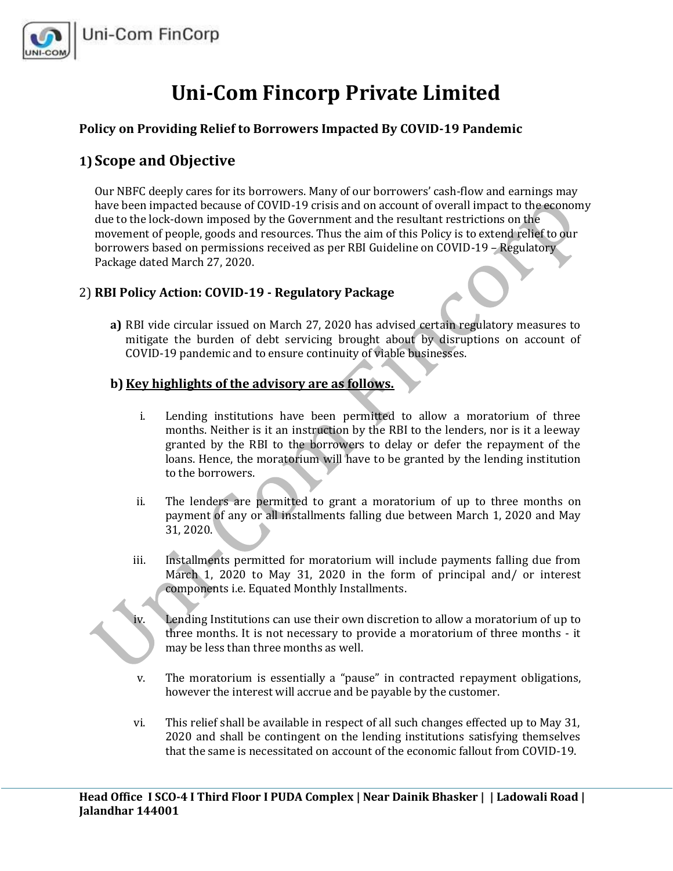

# **Uni-Com Fincorp Private Limited**

### **Policy on Providing Relief to Borrowers Impacted By COVID-19 Pandemic**

## **1) Scope and Objective**

Our NBFC deeply cares for its borrowers. Many of our borrowers' cash-flow and earnings may have been impacted because of COVID-19 crisis and on account of overall impact to the economy due to the lock-down imposed by the Government and the resultant restrictions on the movement of people, goods and resources. Thus the aim of this Policy is to extend relief to our borrowers based on permissions received as per RBI Guideline on COVID-19 – Regulatory Package dated March 27, 2020.

#### 2) **RBI Policy Action: COVID-19 - Regulatory Package**

**a)** RBI vide circular issued on March 27, 2020 has advised certain regulatory measures to mitigate the burden of debt servicing brought about by disruptions on account of COVID-19 pandemic and to ensure continuity of viable businesses.

## **b) Key highlights of the advisory are as follows.**

- i. Lending institutions have been permitted to allow a moratorium of three months. Neither is it an instruction by the RBI to the lenders, nor is it a leeway granted by the RBI to the borrowers to delay or defer the repayment of the loans. Hence, the moratorium will have to be granted by the lending institution to the borrowers.
- ii. The lenders are permitted to grant a moratorium of up to three months on payment of any or all installments falling due between March 1, 2020 and May 31, 2020.
- iii. Installments permitted for moratorium will include payments falling due from March 1, 2020 to May 31, 2020 in the form of principal and/ or interest components i.e. Equated Monthly Installments.
- iv. Lending Institutions can use their own discretion to allow a moratorium of up to three months. It is not necessary to provide a moratorium of three months - it may be less than three months as well.
	- v. The moratorium is essentially a "pause" in contracted repayment obligations, however the interest will accrue and be payable by the customer.
- vi. This relief shall be available in respect of all such changes effected up to May 31, 2020 and shall be contingent on the lending institutions satisfying themselves that the same is necessitated on account of the economic fallout from COVID-19.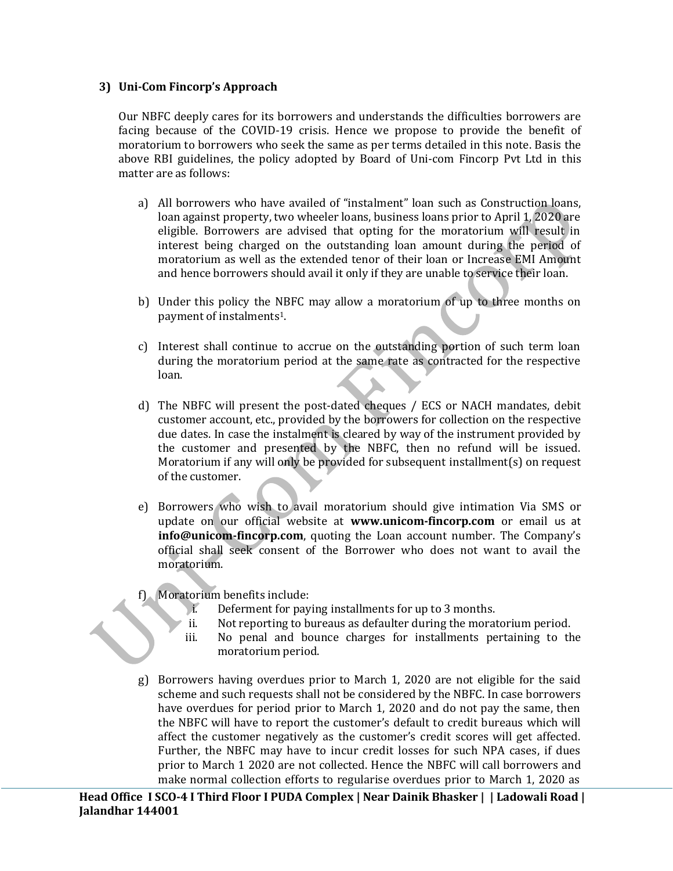#### **3) Uni-Com Fincorp's Approach**

Our NBFC deeply cares for its borrowers and understands the difficulties borrowers are facing because of the COVID-19 crisis. Hence we propose to provide the benefit of moratorium to borrowers who seek the same as per terms detailed in this note. Basis the above RBI guidelines, the policy adopted by Board of Uni-com Fincorp Pvt Ltd in this matter are as follows:

- a) All borrowers who have availed of "instalment" loan such as Construction loans, loan against property, two wheeler loans, business loans prior to April 1, 2020 are eligible. Borrowers are advised that opting for the moratorium will result in interest being charged on the outstanding loan amount during the period of moratorium as well as the extended tenor of their loan or Increase EMI Amount and hence borrowers should avail it only if they are unable to service their loan.
- b) Under this policy the NBFC may allow a moratorium of up to three months on payment of instalments1.
- c) Interest shall continue to accrue on the outstanding portion of such term loan during the moratorium period at the same rate as contracted for the respective loan.
- d) The NBFC will present the post-dated cheques / ECS or NACH mandates, debit customer account, etc., provided by the borrowers for collection on the respective due dates. In case the instalment is cleared by way of the instrument provided by the customer and presented by the NBFC, then no refund will be issued. Moratorium if any will only be provided for subsequent installment(s) on request of the customer.
- e) Borrowers who wish to avail moratorium should give intimation Via SMS or update on our official website at **[www.unicom-fincorp.com](http://www.unicom-fincorp.com/)** or email us at **info@unicom-fincorp.com**, quoting the Loan account number. The Company's official shall seek consent of the Borrower who does not want to avail the moratorium.
- f) Moratorium benefits include:
	- i. Deferment for paying installments for up to 3 months.
	- ii. Not reporting to bureaus as defaulter during the moratorium period.
	- iii. No penal and bounce charges for installments pertaining to the moratorium period.
- g) Borrowers having overdues prior to March 1, 2020 are not eligible for the said scheme and such requests shall not be considered by the NBFC. In case borrowers have overdues for period prior to March 1, 2020 and do not pay the same, then the NBFC will have to report the customer's default to credit bureaus which will affect the customer negatively as the customer's credit scores will get affected. Further, the NBFC may have to incur credit losses for such NPA cases, if dues prior to March 1 2020 are not collected. Hence the NBFC will call borrowers and make normal collection efforts to regularise overdues prior to March 1, 2020 as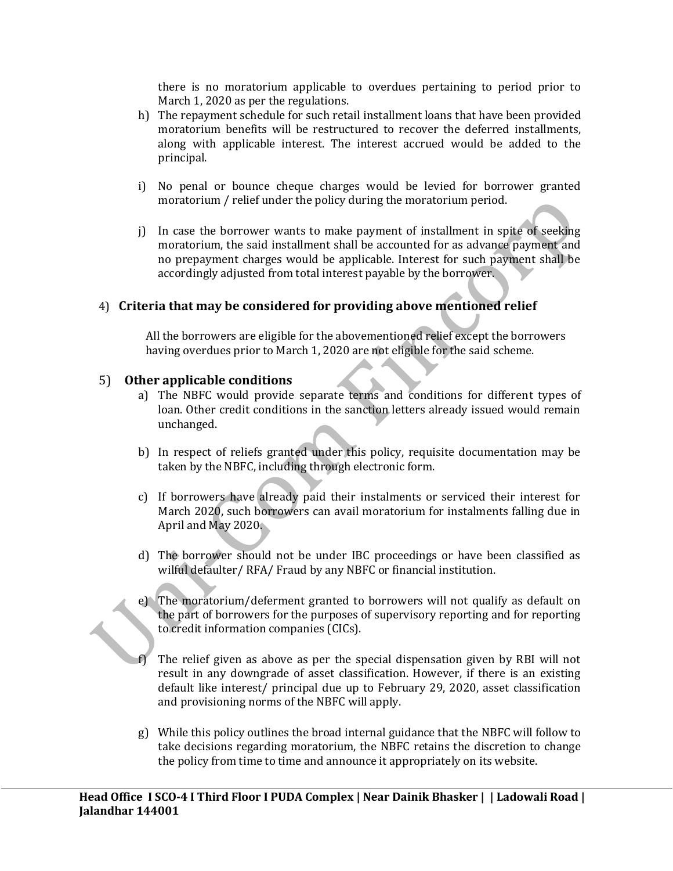there is no moratorium applicable to overdues pertaining to period prior to March 1, 2020 as per the regulations.

- h) The repayment schedule for such retail installment loans that have been provided moratorium benefits will be restructured to recover the deferred installments, along with applicable interest. The interest accrued would be added to the principal.
- i) No penal or bounce cheque charges would be levied for borrower granted moratorium / relief under the policy during the moratorium period.
- j) In case the borrower wants to make payment of installment in spite of seeking moratorium, the said installment shall be accounted for as advance payment and no prepayment charges would be applicable. Interest for such payment shall be accordingly adjusted from total interest payable by the borrower.

#### 4) **Criteria that may be considered for providing above mentioned relief**

All the borrowers are eligible for the abovementioned relief except the borrowers having overdues prior to March 1, 2020 are not eligible for the said scheme.

#### 5) **Other applicable conditions**

- a) The NBFC would provide separate terms and conditions for different types of loan. Other credit conditions in the sanction letters already issued would remain unchanged.
- b) In respect of reliefs granted under this policy, requisite documentation may be taken by the NBFC, including through electronic form.
- c) If borrowers have already paid their instalments or serviced their interest for March 2020, such borrowers can avail moratorium for instalments falling due in April and May 2020.
- d) The borrower should not be under IBC proceedings or have been classified as wilful defaulter/ RFA/ Fraud by any NBFC or financial institution.
- e) The moratorium/deferment granted to borrowers will not qualify as default on the part of borrowers for the purposes of supervisory reporting and for reporting to credit information companies (CICs).
- The relief given as above as per the special dispensation given by RBI will not result in any downgrade of asset classification. However, if there is an existing default like interest/ principal due up to February 29, 2020, asset classification and provisioning norms of the NBFC will apply.
- g) While this policy outlines the broad internal guidance that the NBFC will follow to take decisions regarding moratorium, the NBFC retains the discretion to change the policy from time to time and announce it appropriately on its website.